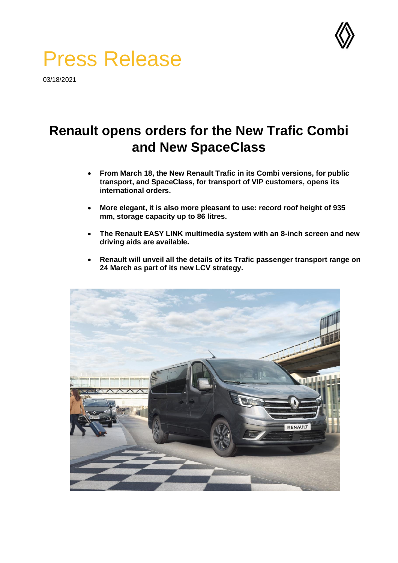

# Press Release

03/18/2021

## **Renault opens orders for the New Trafic Combi and New SpaceClass**

- **From March 18, the New Renault Trafic in its Combi versions, for public transport, and SpaceClass, for transport of VIP customers, opens its international orders.**
- **More elegant, it is also more pleasant to use: record roof height of 935 mm, storage capacity up to 86 litres.**
- **The Renault EASY LINK multimedia system with an 8-inch screen and new driving aids are available.**
- **Renault will unveil all the details of its Trafic passenger transport range on 24 March as part of its new LCV strategy.**